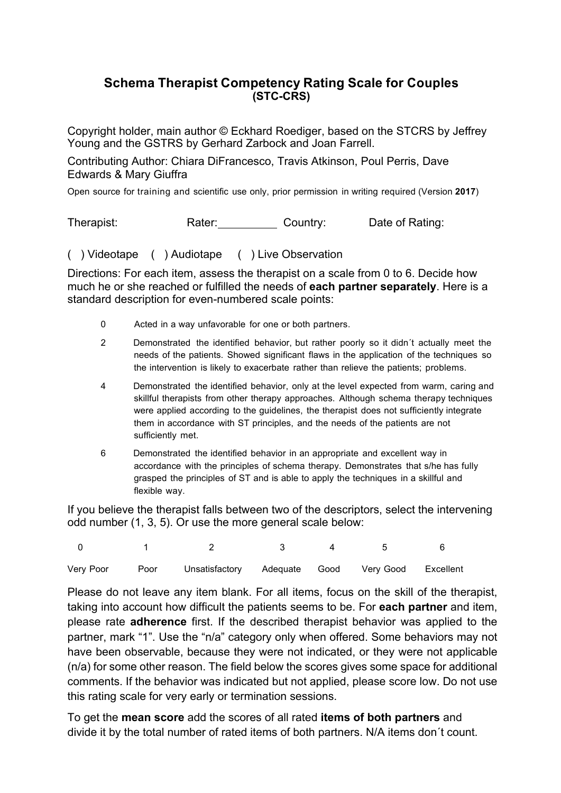### **Schema Therapist Competency Rating Scale for Couples (STC-CRS)**

Copyright holder, main author © Eckhard Roediger, based on the STCRS by Jeffrey Young and the GSTRS by Gerhard Zarbock and Joan Farrell.

Contributing Author: Chiara DiFrancesco, Travis Atkinson, Poul Perris, Dave Edwards & Mary Giuffra

Open source for training and scientific use only, prior permission in writing required (Version **2017**)

Therapist: Rater: Country: Date of Rating:

( ) Videotape ( ) Audiotape ( ) Live Observation

Directions: For each item, assess the therapist on a scale from 0 to 6. Decide how much he or she reached or fulfilled the needs of **each partner separately**. Here is a standard description for even-numbered scale points:

- 0 Acted in a way unfavorable for one or both partners.
- 2 Demonstrated the identified behavior, but rather poorly so it didn´t actually meet the needs of the patients. Showed significant flaws in the application of the techniques so the intervention is likely to exacerbate rather than relieve the patients; problems.
- 4 Demonstrated the identified behavior, only at the level expected from warm, caring and skillful therapists from other therapy approaches. Although schema therapy techniques were applied according to the guidelines, the therapist does not sufficiently integrate them in accordance with ST principles, and the needs of the patients are not sufficiently met.
- 6 Demonstrated the identified behavior in an appropriate and excellent way in accordance with the principles of schema therapy. Demonstrates that s/he has fully grasped the principles of ST and is able to apply the techniques in a skillful and flexible way.

If you believe the therapist falls between two of the descriptors, select the intervening odd number (1, 3, 5). Or use the more general scale below:

|           |                                                       | $\overline{4}$ | $5 - 5$ |  |
|-----------|-------------------------------------------------------|----------------|---------|--|
| Very Poor | Poor Unsatisfactory Adequate Good Very Good Excellent |                |         |  |

Please do not leave any item blank. For all items, focus on the skill of the therapist, taking into account how difficult the patients seems to be. For **each partner** and item, please rate **adherence** first. If the described therapist behavior was applied to the partner, mark "1". Use the "n/a" category only when offered. Some behaviors may not have been observable, because they were not indicated, or they were not applicable (n/a) for some other reason. The field below the scores gives some space for additional comments. If the behavior was indicated but not applied, please score low. Do not use this rating scale for very early or termination sessions.

To get the **mean score** add the scores of all rated **items of both partners** and divide it by the total number of rated items of both partners. N/A items don´t count.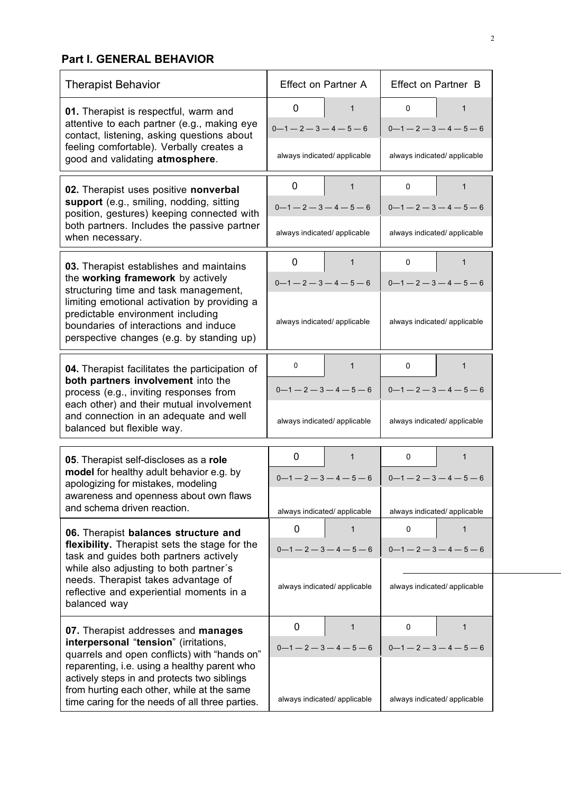## **Part I. GENERAL BEHAVIOR**

| <b>Therapist Behavior</b>                                                                                                                                                                    | <b>Effect on Partner A</b>                                   |                              | Effect on Partner B              |                              |
|----------------------------------------------------------------------------------------------------------------------------------------------------------------------------------------------|--------------------------------------------------------------|------------------------------|----------------------------------|------------------------------|
| 01. Therapist is respectful, warm and<br>attentive to each partner (e.g., making eye<br>contact, listening, asking questions about                                                           | 0<br>$0 - 1 - 2 - 3 - 4 - 5 - 6$                             | $\mathbf{1}$                 | 0<br>$0 - 1 - 2 - 3 - 4 - 5 - 6$ | 1                            |
| feeling comfortable). Verbally creates a<br>good and validating atmosphere.                                                                                                                  | always indicated/applicable                                  |                              | always indicated/ applicable     |                              |
| 02. Therapist uses positive nonverbal                                                                                                                                                        | 0                                                            | 1                            | 0                                | 1                            |
| support (e.g., smiling, nodding, sitting<br>position, gestures) keeping connected with                                                                                                       | $0 - 1 - 2 - 3 - 4 - 5 - 6$<br>$0 - 1 - 2 - 3 - 4 - 5 - 6$   |                              |                                  |                              |
| both partners. Includes the passive partner<br>when necessary.                                                                                                                               | always indicated/ applicable                                 |                              | always indicated/ applicable     |                              |
| 03. Therapist establishes and maintains                                                                                                                                                      | 0                                                            | $\mathbf{1}$                 | 0                                | $\mathbf{1}$                 |
| the working framework by actively<br>structuring time and task management,                                                                                                                   | $0 - 1 - 2 - 3 - 4 - 5 - 6$                                  |                              | $0 - 1 - 2 - 3 - 4 - 5 - 6$      |                              |
| limiting emotional activation by providing a<br>predictable environment including<br>boundaries of interactions and induce<br>perspective changes (e.g. by standing up)                      | always indicated/ applicable<br>always indicated/ applicable |                              |                                  |                              |
| 04. Therapist facilitates the participation of                                                                                                                                               | 0                                                            | $\mathbf 1$                  | 0                                | 1                            |
| both partners involvement into the<br>process (e.g., inviting responses from                                                                                                                 | $0 - 1 - 2 - 3 - 4 - 5 - 6$                                  |                              | $0 - 1 - 2 - 3 - 4 - 5 - 6$      |                              |
| each other) and their mutual involvement<br>and connection in an adequate and well<br>balanced but flexible way.                                                                             | always indicated/applicable                                  |                              | always indicated/ applicable     |                              |
| 05. Therapist self-discloses as a role                                                                                                                                                       | 0                                                            | $\mathbf{1}$                 | 0                                | 1                            |
| model for healthy adult behavior e.g. by<br>apologizing for mistakes, modeling                                                                                                               |                                                              | $0 - 1 - 2 - 3 - 4 - 5 - 6$  | $0 - 1 - 2 - 3 - 4 - 5 - 6$      |                              |
| awareness and openness about own flaws<br>and schema driven reaction.                                                                                                                        |                                                              | always indicated/ applicable |                                  | always indicated/ applicable |
| 06. Therapist balances structure and                                                                                                                                                         | 0                                                            | 1                            | 0                                | 1                            |
| flexibility. Therapist sets the stage for the<br>task and guides both partners actively                                                                                                      |                                                              | $0 - 1 - 2 - 3 - 4 - 5 - 6$  |                                  | $0 - 1 - 2 - 3 - 4 - 5 - 6$  |
| while also adjusting to both partner's<br>needs. Therapist takes advantage of<br>reflective and experiential moments in a<br>balanced way                                                    | always indicated/ applicable                                 |                              | always indicated/ applicable     |                              |
| 07. Therapist addresses and manages                                                                                                                                                          | 0                                                            | 1                            | 0                                | 1                            |
| interpersonal "tension" (irritations,<br>quarrels and open conflicts) with "hands on"                                                                                                        |                                                              | $0 - 1 - 2 - 3 - 4 - 5 - 6$  |                                  | $0 - 1 - 2 - 3 - 4 - 5 - 6$  |
| reparenting, i.e. using a healthy parent who<br>actively steps in and protects two siblings<br>from hurting each other, while at the same<br>time caring for the needs of all three parties. |                                                              | always indicated/ applicable |                                  | always indicated/ applicable |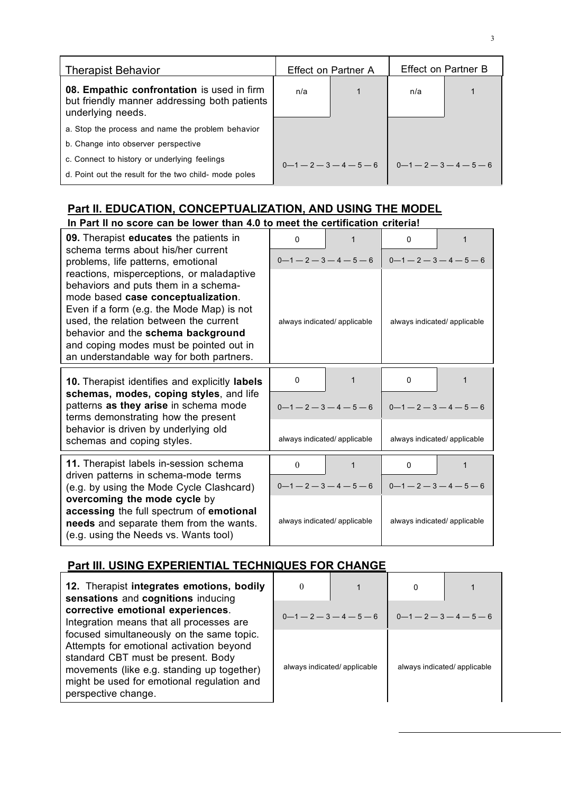| <b>Therapist Behavior</b>                                                                                       | Effect on Partner A |  | <b>Effect on Partner B</b> |  |
|-----------------------------------------------------------------------------------------------------------------|---------------------|--|----------------------------|--|
| 08. Empathic confrontation is used in firm<br>but friendly manner addressing both patients<br>underlying needs. | n/a                 |  | n/a                        |  |
| a. Stop the process and name the problem behavior                                                               |                     |  |                            |  |
| b. Change into observer perspective                                                                             |                     |  |                            |  |
| c. Connect to history or underlying feelings                                                                    | $0-1-2-3-4-5-6$     |  | $0-1-2-3-4-5-6$            |  |
| d. Point out the result for the two child- mode poles                                                           |                     |  |                            |  |

## **Part II. EDUCATION, CONCEPTUALIZATION, AND USING THE MODEL**

| In Part II no score can be lower than 4.0 to meet the certification criteria!                                                                                                                                                                                                                                                               |                              |                              |  |  |  |
|---------------------------------------------------------------------------------------------------------------------------------------------------------------------------------------------------------------------------------------------------------------------------------------------------------------------------------------------|------------------------------|------------------------------|--|--|--|
| 09. Therapist educates the patients in<br>schema terms about his/her current                                                                                                                                                                                                                                                                | $\Omega$<br>1                | 0<br>1                       |  |  |  |
| problems, life patterns, emotional                                                                                                                                                                                                                                                                                                          | $0-1-2-3-4-5-6$              | $0-1-2-3-4-5-6$              |  |  |  |
| reactions, misperceptions, or maladaptive<br>behaviors and puts them in a schema-<br>mode based case conceptualization.<br>Even if a form (e.g. the Mode Map) is not<br>used, the relation between the current<br>behavior and the schema background<br>and coping modes must be pointed out in<br>an understandable way for both partners. | always indicated/ applicable | always indicated/applicable  |  |  |  |
| 10. Therapist identifies and explicitly labels                                                                                                                                                                                                                                                                                              | $\mathbf{0}$<br>1            | $\mathbf{0}$<br>1            |  |  |  |
| schemas, modes, coping styles, and life<br>patterns as they arise in schema mode<br>terms demonstrating how the present                                                                                                                                                                                                                     | $0 - 1 - 2 - 3 - 4 - 5 - 6$  | $0-1-2-3-4-5-6$              |  |  |  |
| behavior is driven by underlying old<br>schemas and coping styles.                                                                                                                                                                                                                                                                          | always indicated/ applicable | always indicated/ applicable |  |  |  |
| 11. Therapist labels in-session schema                                                                                                                                                                                                                                                                                                      | $\Omega$<br>1                | $\Omega$<br>1                |  |  |  |
| driven patterns in schema-mode terms<br>(e.g. by using the Mode Cycle Clashcard)                                                                                                                                                                                                                                                            | $0 - 1 - 2 - 3 - 4 - 5 - 6$  | $0 - 1 - 2 - 3 - 4 - 5 - 6$  |  |  |  |
| overcoming the mode cycle by<br>accessing the full spectrum of emotional<br>needs and separate them from the wants.<br>(e.g. using the Needs vs. Wants tool)                                                                                                                                                                                | always indicated/applicable  | always indicated/applicable  |  |  |  |

# **Part III. USING EXPERIENTIAL TECHNIQUES FOR CHANGE**

**12.** Therapist **integrates emotions, bodily sensations** and **cognitions** inducing **corrective emotional experiences**. Integration means that all processes are focused simultaneously on the same topic. Attempts for emotional activation beyond standard CBT must be present. Body movements (like e.g. standing up together) might be used for emotional regulation and perspective change.

| $0 - 1 - 2 - 3 - 4 - 5 - 6$  |  | $0 - 1 - 2 - 3 - 4 - 5 - 6$  |  |  |
|------------------------------|--|------------------------------|--|--|
| always indicated/ applicable |  | always indicated/ applicable |  |  |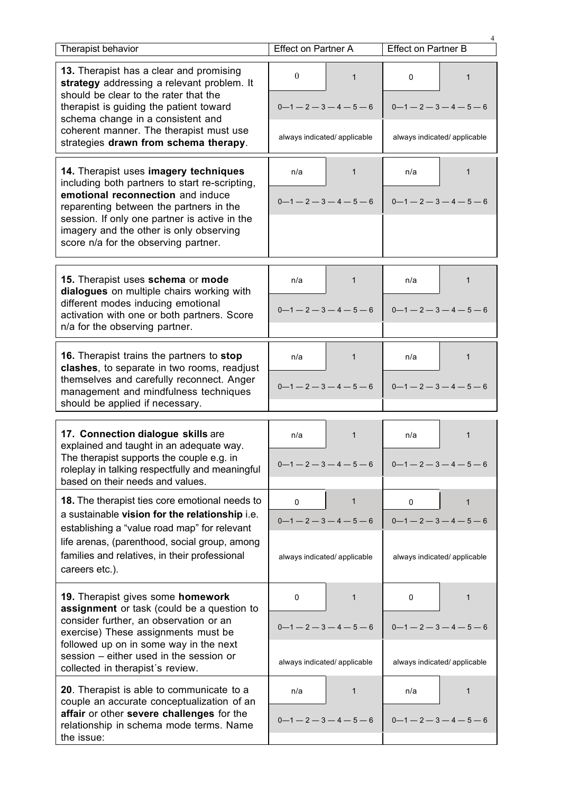| Therapist behavior                                                                                                                                                                                                                                        | <b>Effect on Partner A</b>                                  | <b>Effect on Partner B</b>              |  |
|-----------------------------------------------------------------------------------------------------------------------------------------------------------------------------------------------------------------------------------------------------------|-------------------------------------------------------------|-----------------------------------------|--|
| 13. Therapist has a clear and promising<br>strategy addressing a relevant problem. It<br>should be clear to the rater that the<br>therapist is guiding the patient toward<br>schema change in a consistent and<br>coherent manner. The therapist must use | $\mathbf{0}$<br>$\mathbf{1}$<br>$0 - 1 - 2 - 3 - 4 - 5 - 6$ | 0<br>1<br>$0 - 1 - 2 - 3 - 4 - 5 - 6$   |  |
| strategies drawn from schema therapy.                                                                                                                                                                                                                     | always indicated/ applicable                                | always indicated/ applicable            |  |
| 14. Therapist uses imagery techniques<br>including both partners to start re-scripting,<br>emotional reconnection and induce                                                                                                                              | n/a<br>1<br>$0 - 1 - 2 - 3 - 4 - 5 - 6$                     | n/a<br>1<br>$0 - 1 - 2 - 3 - 4 - 5 - 6$ |  |
| reparenting between the partners in the<br>session. If only one partner is active in the<br>imagery and the other is only observing<br>score n/a for the observing partner.                                                                               |                                                             |                                         |  |
| 15. Therapist uses schema or mode                                                                                                                                                                                                                         | 1<br>n/a                                                    | 1<br>n/a                                |  |
| dialogues on multiple chairs working with<br>different modes inducing emotional<br>activation with one or both partners. Score<br>n/a for the observing partner.                                                                                          | $0 - 1 - 2 - 3 - 4 - 5 - 6$                                 | $0 - 1 - 2 - 3 - 4 - 5 - 6$             |  |
| 16. Therapist trains the partners to stop<br>clashes, to separate in two rooms, readjust                                                                                                                                                                  | n/a<br>1                                                    | n/a<br>1                                |  |
| themselves and carefully reconnect. Anger<br>management and mindfulness techniques<br>should be applied if necessary.                                                                                                                                     | $0 - 1 - 2 - 3 - 4 - 5 - 6$                                 | $0 - 1 - 2 - 3 - 4 - 5 - 6$             |  |
| 17. Connection dialogue skills are                                                                                                                                                                                                                        | n/a<br>1                                                    | n/a<br>1                                |  |
| explained and taught in an adequate way.<br>The therapist supports the couple e.g. in<br>roleplay in talking respectfully and meaningful<br>based on their needs and values.                                                                              | $0 - 1 - 2 - 3 - 4 - 5 - 6$                                 | $0 - 1 - 2 - 3 - 4 - 5 - 6$             |  |
| <b>18.</b> The therapist ties core emotional needs to<br>a sustainable vision for the relationship i.e.                                                                                                                                                   | $\mathbf{1}$<br>$\Omega$                                    | 0<br>$\mathbf{1}$                       |  |
| establishing a "value road map" for relevant                                                                                                                                                                                                              | $0 - 1 - 2 - 3 - 4 - 5 - 6$                                 | $0 - 1 - 2 - 3 - 4 - 5 - 6$             |  |
| life arenas, (parenthood, social group, among<br>families and relatives, in their professional<br>careers etc.).                                                                                                                                          | always indicated/ applicable                                | always indicated/ applicable            |  |
| 19. Therapist gives some homework<br>assignment or task (could be a question to                                                                                                                                                                           | 0<br>1                                                      | 0<br>1                                  |  |
| consider further, an observation or an<br>exercise) These assignments must be                                                                                                                                                                             | $0 - 1 - 2 - 3 - 4 - 5 - 6$                                 | $0 - 1 - 2 - 3 - 4 - 5 - 6$             |  |
| followed up on in some way in the next<br>session - either used in the session or<br>collected in therapist's review.                                                                                                                                     | always indicated/ applicable                                | always indicated/ applicable            |  |
| 20. Therapist is able to communicate to a<br>couple an accurate conceptualization of an                                                                                                                                                                   | n/a<br>1                                                    | n/a<br>1                                |  |
| affair or other severe challenges for the<br>relationship in schema mode terms. Name<br>the issue:                                                                                                                                                        | $0 - 1 - 2 - 3 - 4 - 5 - 6$                                 | $0 - 1 - 2 - 3 - 4 - 5 - 6$             |  |